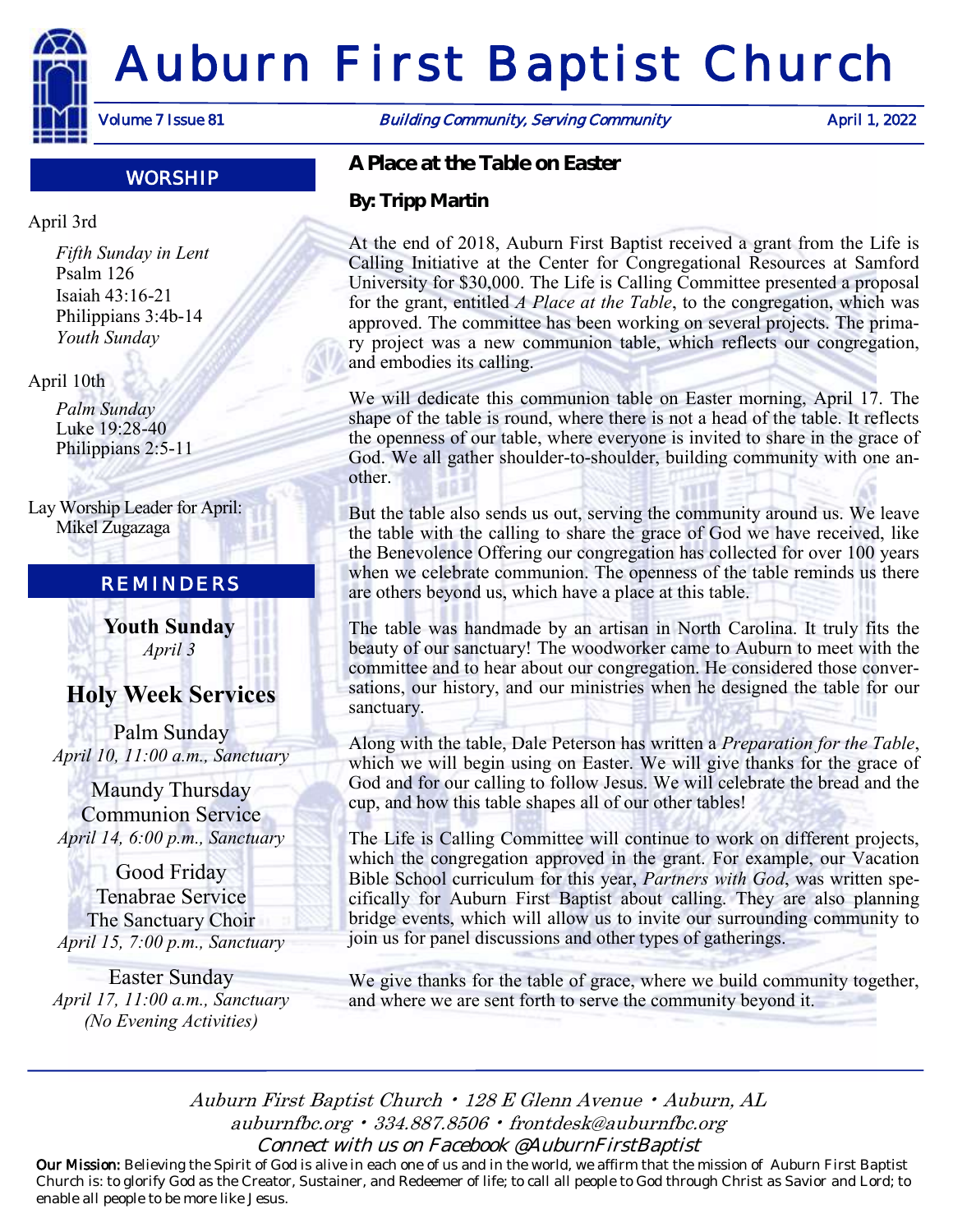

## WORSHIP

### April 3rd

*Fifth Sunday in Lent* Psalm 126 Isaiah 43:16-21 Philippians 3:4b-14 *Youth Sunday*

#### April 10th

*Palm Sunday* Luke 19:28-40 Philippians 2:5-11

Lay Worship Leader for April: Mikel Zugazaga

### REMINDERS

**Youth Sunday** *April 3*

# **Holy Week Services**

Palm Sunday *April 10, 11:00 a.m., Sanctuary*

Maundy Thursday Communion Service *April 14, 6:00 p.m., Sanctuary*

Good Friday Tenabrae Service The Sanctuary Choir *April 15, 7:00 p.m., Sanctuary*

Easter Sunday *April 17, 11:00 a.m., Sanctuary (No Evening Activities)*

Volume 7 Issue 81 **Building Community, Serving Community** April 1, 2022

*A Place at the Table on Easter*

*By: Tripp Martin*

At the end of 2018, Auburn First Baptist received a grant from the Life is Calling Initiative at the Center for Congregational Resources at Samford University for \$30,000. The Life is Calling Committee presented a proposal for the grant, entitled *A Place at the Table*, to the congregation, which was approved. The committee has been working on several projects. The primary project was a new communion table, which reflects our congregation, and embodies its calling.

We will dedicate this communion table on Easter morning, April 17. The shape of the table is round, where there is not a head of the table. It reflects the openness of our table, where everyone is invited to share in the grace of God. We all gather shoulder-to-shoulder, building community with one another.

But the table also sends us out, serving the community around us. We leave the table with the calling to share the grace of God we have received, like the Benevolence Offering our congregation has collected for over 100 years when we celebrate communion. The openness of the table reminds us there are others beyond us, which have a place at this table.

The table was handmade by an artisan in North Carolina. It truly fits the beauty of our sanctuary! The woodworker came to Auburn to meet with the committee and to hear about our congregation. He considered those conversations, our history, and our ministries when he designed the table for our sanctuary.

Along with the table, Dale Peterson has written a *Preparation for the Table*, which we will begin using on Easter. We will give thanks for the grace of God and for our calling to follow Jesus. We will celebrate the bread and the cup, and how this table shapes all of our other tables!

The Life is Calling Committee will continue to work on different projects, which the congregation approved in the grant. For example, our Vacation Bible School curriculum for this year, *Partners with God*, was written specifically for Auburn First Baptist about calling. They are also planning bridge events, which will allow us to invite our surrounding community to join us for panel discussions and other types of gatherings.

We give thanks for the table of grace, where we build community together, and where we are sent forth to serve the community beyond it.

Auburn First Baptist Church • 128 E Glenn Avenue • Auburn, AL auburnfbc.org • 334.887.8506 • frontdesk@auburnfbc.org Connect with us on Facebook @AuburnFirstBaptist

Our Mission: Believing the Spirit of God is alive in each one of us and in the world, we affirm that the mission of Auburn First Baptist Church is: to glorify God as the Creator, Sustainer, and Redeemer of life; to call all people to God through Christ as Savior and Lord; to enable all people to be more like Jesus.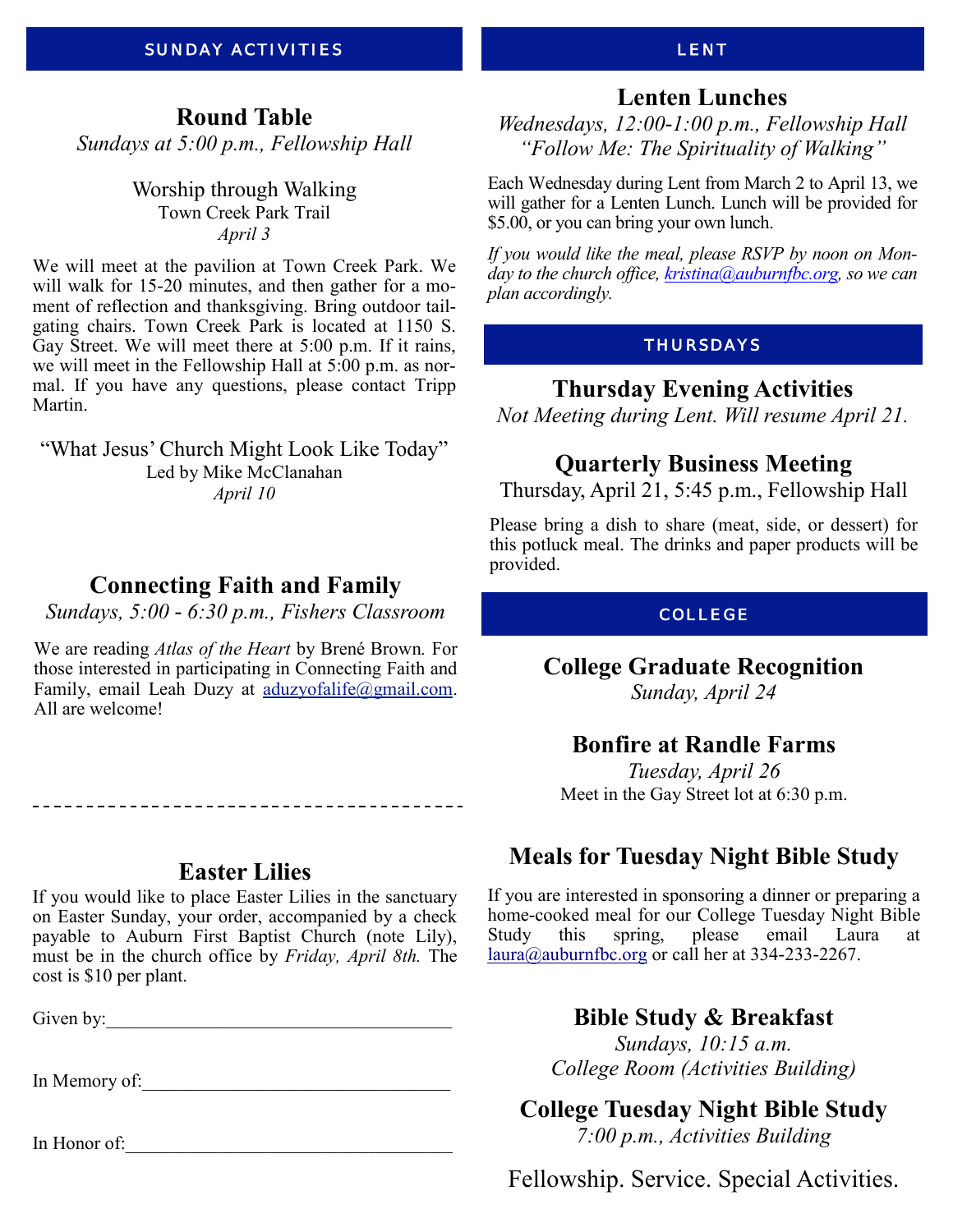# **Round Table**

*Sundays at 5:00 p.m., Fellowship Hall*

Worship through Walking Town Creek Park Trail *April 3*

We will meet at the pavilion at Town Creek Park. We will walk for 15-20 minutes, and then gather for a moment of reflection and thanksgiving. Bring outdoor tailgating chairs. Town Creek Park is located at 1150 S. Gay Street. We will meet there at 5:00 p.m. If it rains, we will meet in the Fellowship Hall at 5:00 p.m. as normal. If you have any questions, please contact Tripp Martin.

"What Jesus' Church Might Look Like Today" Led by Mike McClanahan *April 10*

# **Connecting Faith and Family**

*Sundays, 5:00 - 6:30 p.m., Fishers Classroom*

We are reading *Atlas of the Heart* by Brené Brown*.* For those interested in participating in Connecting Faith and Family, email Leah Duzy at [aduzyofalife@gmail.com.](mailto:aduzyofalife@gmail.com) All are welcome!

-------------------------------------

## **Easter Lilies**

If you would like to place Easter Lilies in the sanctuary on Easter Sunday, your order, accompanied by a check payable to Auburn First Baptist Church (note Lily), must be in the church office by *Friday, April 8th.* The cost is \$10 per plant.

Given by:\_\_\_\_\_\_\_\_\_\_\_\_\_\_\_\_\_\_\_\_\_\_\_\_\_\_\_\_\_\_\_\_\_\_\_\_\_

In Memory of:

In Honor of:

### LENT

# **Lenten Lunches**

*Wednesdays, 12:00-1:00 p.m., Fellowship Hall "Follow Me: The Spirituality of Walking"*

Each Wednesday during Lent from March 2 to April 13, we will gather for a Lenten Lunch. Lunch will be provided for \$5.00, or you can bring your own lunch.

*If you would like the meal, please RSVP by noon on Monday to the church office, kristina@auburnfbc.org, so we can plan accordingly.* 

### THURSDAYS

### **Thursday Evening Activities**

*Not Meeting during Lent. Will resume April 21.*

# **Quarterly Business Meeting**

Thursday, April 21, 5:45 p.m., Fellowship Hall

Please bring a dish to share (meat, side, or dessert) for this potluck meal. The drinks and paper products will be provided.

### COLLEGE

**College Graduate Recognition**

*Sunday, April 24*

# **Bonfire at Randle Farms**

*Tuesday, April 26* Meet in the Gay Street lot at 6:30 p.m.

# **Meals for Tuesday Night Bible Study**

If you are interested in sponsoring a dinner or preparing a home-cooked meal for our College Tuesday Night Bible Study this spring, please email Laura at [laura@auburnfbc.org](mailto:laura@auburnfbc.org) or call her at 334-233-2267.

# **Bible Study & Breakfast**

*Sundays, 10:15 a.m. College Room (Activities Building)*

**College Tuesday Night Bible Study**

*7:00 p.m., Activities Building*

Fellowship. Service. Special Activities.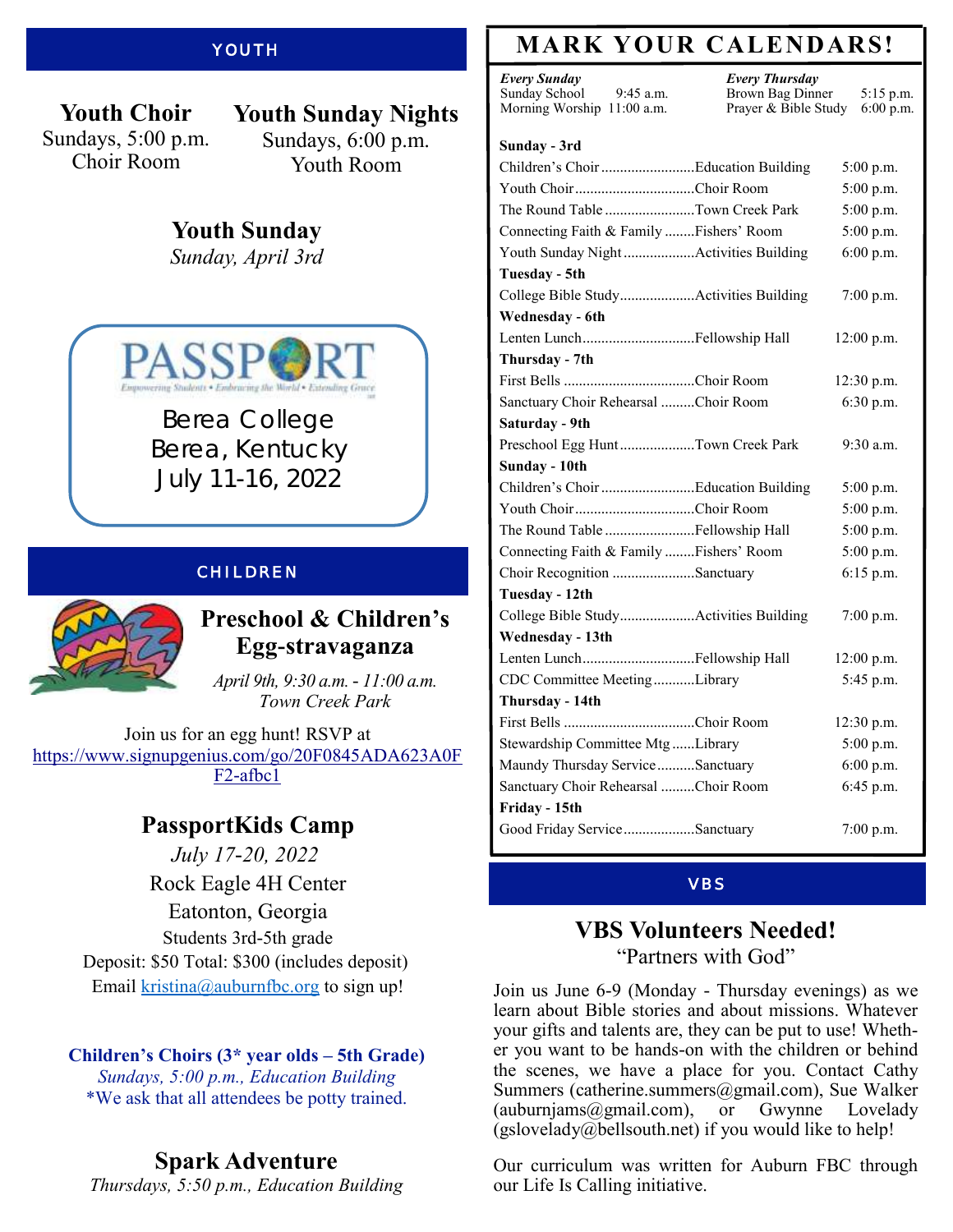### **YOUTH**

**Youth Choir** Sundays, 5:00 p.m. Choir Room

**Youth Sunday Nights** Sundays, 6:00 p.m. Youth Room

# **Youth Sunday**

*Sunday, April 3rd*



Berea College Berea, Kentucky July 11-16, 2022

#### CHILDREN



# **Preschool & Children's Egg-stravaganza**

*April 9th, 9:30 a.m. - 11:00 a.m. Town Creek Park*

Join us for an egg hunt! RSVP at [https://www.signupgenius.com/go/20F0845ADA623A0F](https://www.signupgenius.com/go/20F0845ADA623A0FF2-afbc1) [F2-afbc1](https://www.signupgenius.com/go/20F0845ADA623A0FF2-afbc1)

# **PassportKids Camp**

*July 17-20, 2022* Rock Eagle [4H Center](x-apple-data-detectors://6) [Eatonton, Georgia](x-apple-data-detectors://6) Students 3rd-5th grade Deposit: \$50 Total: \$300 (includes deposit) Email [kristina@auburnfbc.org](mailto:kristina@auburnfbc.org) to sign up!

### **Children's Choirs (3\* year olds – 5th Grade)**

*Sundays, 5:00 p.m., Education Building* \*We ask that all attendees be potty trained.

# **Spark Adventure**

*Thursdays, 5:50 p.m., Education Building*

# **MARK YOUR CALENDARS!**

*Every Sunday* Sunday School 9:45 a.m. Morning Worship 11:00 a.m. *Every Thursday* Brown Bag Dinner 5:15 p.m. Prayer & Bible Study 6:00 p.m.

#### **Sunday - 3rd**

|                                          | 5:00 p.m.    |
|------------------------------------------|--------------|
| Youth ChoirChoir Room                    | 5:00 p.m.    |
| The Round Table Town Creek Park          | 5:00 p.m.    |
| Connecting Faith & Family  Fishers' Room | 5:00 p.m.    |
| Youth Sunday Night Activities Building   | 6:00 p.m.    |
| Tuesday - 5th                            |              |
| College Bible StudyActivities Building   | $7:00$ p.m.  |
| Wednesday - 6th                          |              |
| Lenten LunchFellowship Hall              | 12:00 p.m.   |
| Thursday - 7th                           |              |
|                                          | $12:30$ p.m. |
| Sanctuary Choir Rehearsal Choir Room     | 6:30 p.m.    |
| Saturday - 9th                           |              |
| Preschool Egg HuntTown Creek Park        | 9:30 a.m.    |
| Sunday - 10th                            |              |
|                                          | $5:00$ p.m.  |
| Youth ChoirChoir Room                    | 5:00 p.m.    |
| The Round Table Fellowship Hall          | 5:00 p.m.    |
| Connecting Faith & Family  Fishers' Room | 5:00 p.m.    |
| Choir Recognition Sanctuary              | $6:15$ p.m.  |
| Tuesday - 12th                           |              |
| College Bible StudyActivities Building   | 7:00 p.m.    |
| Wednesday - 13th                         |              |
| Lenten LunchFellowship Hall              | $12:00$ p.m. |
| CDC Committee MeetingLibrary             | 5:45 p.m.    |
| Thursday - 14th                          |              |
|                                          | 12:30 p.m.   |
| Stewardship Committee Mtg Library        | 5:00 p.m.    |
| Maundy Thursday Service Sanctuary        | 6:00 p.m.    |
| Sanctuary Choir Rehearsal Choir Room     | 6:45 p.m.    |
| Friday - 15th                            |              |
| Good Friday ServiceSanctuary             | 7:00 p.m.    |
|                                          |              |

#### VBS

### **VBS Volunteers Needed!** "Partners with God"

Join us June 6-9 (Monday - Thursday evenings) as we learn about Bible stories and about missions. Whatever your gifts and talents are, they can be put to use! Whether you want to be hands-on with the children or behind the scenes, we have a place for you. Contact Cathy Summers (catherine.summers@gmail.com), Sue Walker (auburnjams@gmail.com), or Gwynne Lovelady (gslovelady@bellsouth.net) if you would like to help!

Our curriculum was written for Auburn FBC through our Life Is Calling initiative.